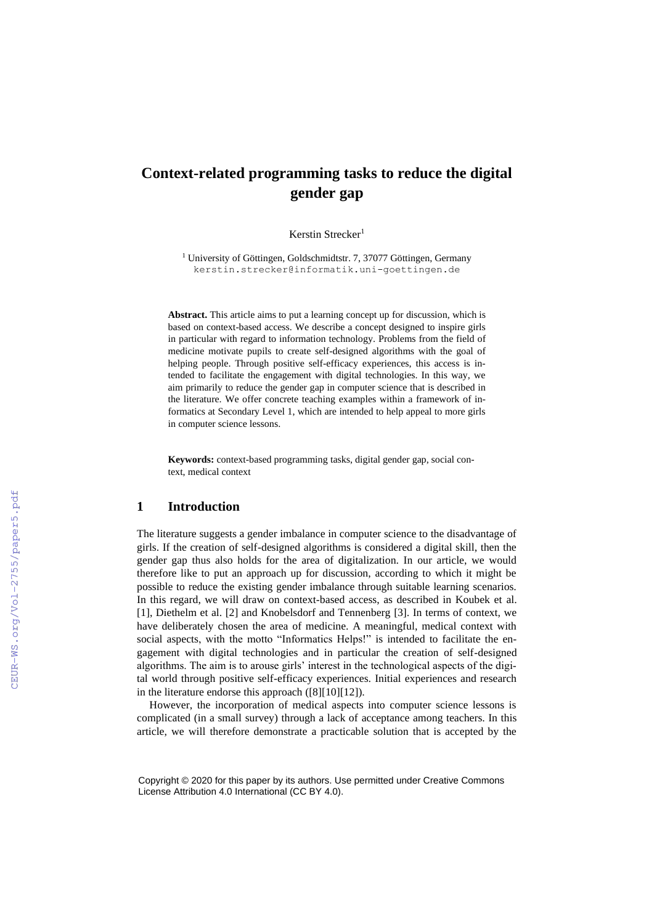# **Context-related programming tasks to reduce the digital gender gap**

Kerstin Strecker<sup>1</sup>

<sup>1</sup> University of Göttingen, Goldschmidtstr. 7, 37077 Göttingen, Germany kerstin.strecker@informatik.uni-goettingen.de

**Abstract.** This article aims to put a learning concept up for discussion, which is based on context-based access. We describe a concept designed to inspire girls in particular with regard to information technology. Problems from the field of medicine motivate pupils to create self-designed algorithms with the goal of helping people. Through positive self-efficacy experiences, this access is intended to facilitate the engagement with digital technologies. In this way, we aim primarily to reduce the gender gap in computer science that is described in the literature. We offer concrete teaching examples within a framework of informatics at Secondary Level 1, which are intended to help appeal to more girls in computer science lessons.

**Keywords:** context-based programming tasks, digital gender gap, social context, medical context

## **1 Introduction**

The literature suggests a gender imbalance in computer science to the disadvantage of girls. If the creation of self-designed algorithms is considered a digital skill, then the gender gap thus also holds for the area of digitalization. In our article, we would therefore like to put an approach up for discussion, according to which it might be possible to reduce the existing gender imbalance through suitable learning scenarios. In this regard, we will draw on context-based access, as described in Koubek et al. [1], Diethelm et al. [2] and Knobelsdorf and Tennenberg [3]. In terms of context, we have deliberately chosen the area of medicine. A meaningful, medical context with social aspects, with the motto "Informatics Helps!" is intended to facilitate the engagement with digital technologies and in particular the creation of self-designed algorithms. The aim is to arouse girls' interest in the technological aspects of the digital world through positive self-efficacy experiences. Initial experiences and research in the literature endorse this approach ([8][10][12]).

However, the incorporation of medical aspects into computer science lessons is complicated (in a small survey) through a lack of acceptance among teachers. In this article, we will therefore demonstrate a practicable solution that is accepted by the

Copyright © 2020 for this paper by its authors. Use permitted under Creative Commons License Attribution 4.0 International (CC BY 4.0).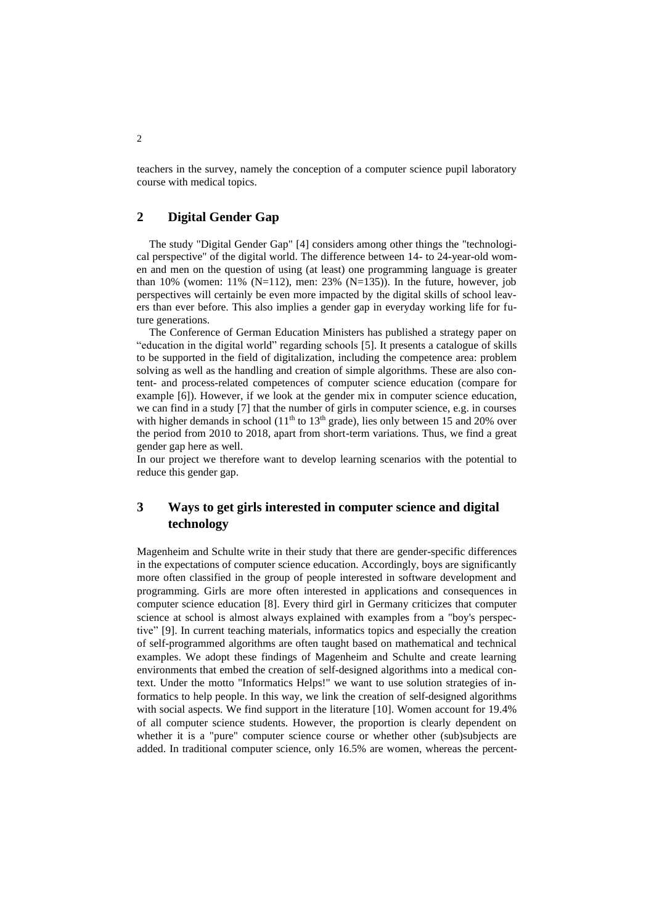teachers in the survey, namely the conception of a computer science pupil laboratory course with medical topics.

### **2 Digital Gender Gap**

The study "Digital Gender Gap" [4] considers among other things the "technological perspective" of the digital world. The difference between 14- to 24-year-old women and men on the question of using (at least) one programming language is greater than 10% (women: 11% (N=112), men: 23% (N=135)). In the future, however, job perspectives will certainly be even more impacted by the digital skills of school leavers than ever before. This also implies a gender gap in everyday working life for future generations.

The Conference of German Education Ministers has published a strategy paper on "education in the digital world" regarding schools [5]. It presents a catalogue of skills to be supported in the field of digitalization, including the competence area: problem solving as well as the handling and creation of simple algorithms. These are also content- and process-related competences of computer science education (compare for example [6]). However, if we look at the gender mix in computer science education, we can find in a study [7] that the number of girls in computer science, e.g. in courses with higher demands in school  $(11<sup>th</sup>$  to  $13<sup>th</sup>$  grade), lies only between 15 and 20% over the period from 2010 to 2018, apart from short-term variations. Thus, we find a great gender gap here as well.

In our project we therefore want to develop learning scenarios with the potential to reduce this gender gap.

# **3 Ways to get girls interested in computer science and digital technology**

Magenheim and Schulte write in their study that there are gender-specific differences in the expectations of computer science education. Accordingly, boys are significantly more often classified in the group of people interested in software development and programming. Girls are more often interested in applications and consequences in computer science education [8]. Every third girl in Germany criticizes that computer science at school is almost always explained with examples from a "boy's perspective" [9]. In current teaching materials, informatics topics and especially the creation of self-programmed algorithms are often taught based on mathematical and technical examples. We adopt these findings of Magenheim and Schulte and create learning environments that embed the creation of self-designed algorithms into a medical context. Under the motto "Informatics Helps!" we want to use solution strategies of informatics to help people. In this way, we link the creation of self-designed algorithms with social aspects. We find support in the literature [10]. Women account for 19.4% of all computer science students. However, the proportion is clearly dependent on whether it is a "pure" computer science course or whether other (sub)subjects are added. In traditional computer science, only 16.5% are women, whereas the percent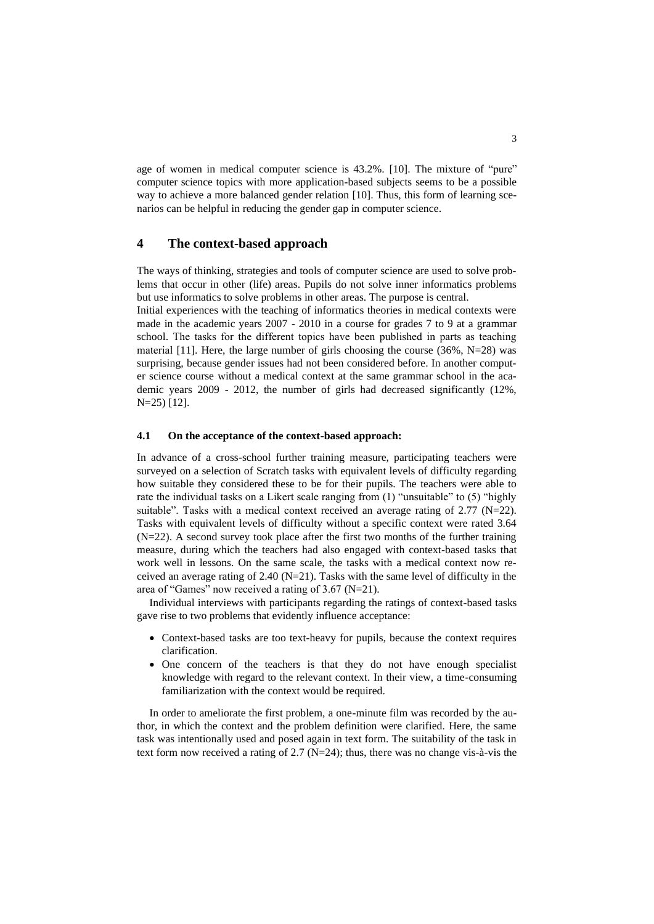age of women in medical computer science is 43.2%. [10]. The mixture of "pure" computer science topics with more application-based subjects seems to be a possible way to achieve a more balanced gender relation [10]. Thus, this form of learning scenarios can be helpful in reducing the gender gap in computer science.

#### **4 The context-based approach**

The ways of thinking, strategies and tools of computer science are used to solve problems that occur in other (life) areas. Pupils do not solve inner informatics problems but use informatics to solve problems in other areas. The purpose is central.

Initial experiences with the teaching of informatics theories in medical contexts were made in the academic years 2007 - 2010 in a course for grades 7 to 9 at a grammar school. The tasks for the different topics have been published in parts as teaching material [11]. Here, the large number of girls choosing the course  $(36\%, N=28)$  was surprising, because gender issues had not been considered before. In another computer science course without a medical context at the same grammar school in the academic years 2009 - 2012, the number of girls had decreased significantly (12%, N=25) [12].

#### **4.1 On the acceptance of the context-based approach:**

In advance of a cross-school further training measure, participating teachers were surveyed on a selection of Scratch tasks with equivalent levels of difficulty regarding how suitable they considered these to be for their pupils. The teachers were able to rate the individual tasks on a Likert scale ranging from (1) "unsuitable" to (5) "highly suitable". Tasks with a medical context received an average rating of 2.77 (N=22). Tasks with equivalent levels of difficulty without a specific context were rated 3.64 (N=22). A second survey took place after the first two months of the further training measure, during which the teachers had also engaged with context-based tasks that work well in lessons. On the same scale, the tasks with a medical context now received an average rating of 2.40 (N=21). Tasks with the same level of difficulty in the area of "Games" now received a rating of 3.67 (N=21).

Individual interviews with participants regarding the ratings of context-based tasks gave rise to two problems that evidently influence acceptance:

- Context-based tasks are too text-heavy for pupils, because the context requires clarification.
- One concern of the teachers is that they do not have enough specialist knowledge with regard to the relevant context. In their view, a time-consuming familiarization with the context would be required.

In order to ameliorate the first problem, a one-minute film was recorded by the author, in which the context and the problem definition were clarified. Here, the same task was intentionally used and posed again in text form. The suitability of the task in text form now received a rating of 2.7 (N=24); thus, there was no change vis-à-vis the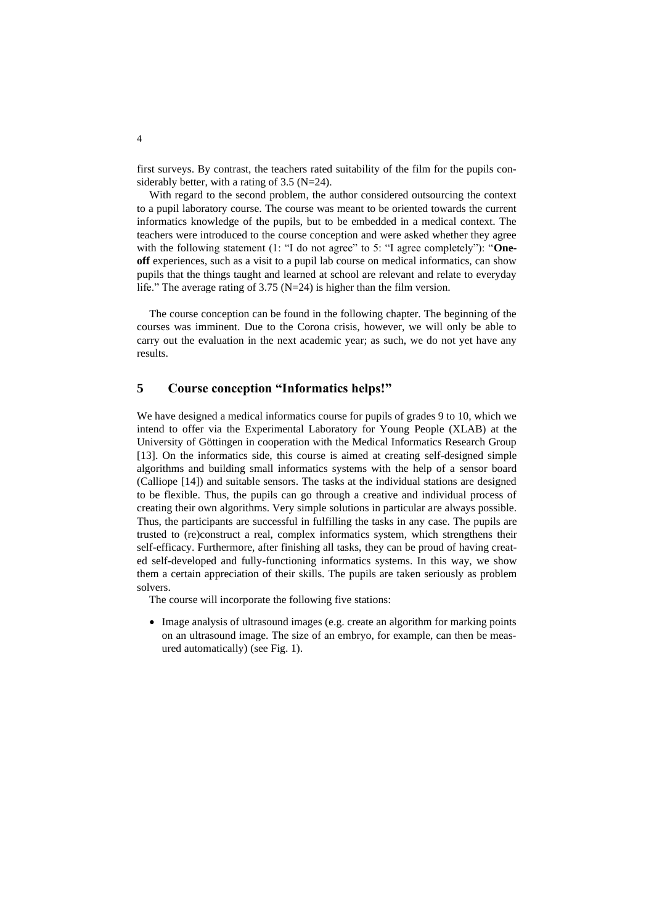first surveys. By contrast, the teachers rated suitability of the film for the pupils considerably better, with a rating of 3.5 (N=24).

With regard to the second problem, the author considered outsourcing the context to a pupil laboratory course. The course was meant to be oriented towards the current informatics knowledge of the pupils, but to be embedded in a medical context. The teachers were introduced to the course conception and were asked whether they agree with the following statement (1: "I do not agree" to 5: "I agree completely"): "One**off** experiences, such as a visit to a pupil lab course on medical informatics, can show pupils that the things taught and learned at school are relevant and relate to everyday life." The average rating of 3.75 (N=24) is higher than the film version.

The course conception can be found in the following chapter. The beginning of the courses was imminent. Due to the Corona crisis, however, we will only be able to carry out the evaluation in the next academic year; as such, we do not yet have any results.

#### **5 Course conception "Informatics helps!"**

We have designed a medical informatics course for pupils of grades 9 to 10, which we intend to offer via the Experimental Laboratory for Young People (XLAB) at the University of Göttingen in cooperation with the Medical Informatics Research Group [13]. On the informatics side, this course is aimed at creating self-designed simple algorithms and building small informatics systems with the help of a sensor board (Calliope [14]) and suitable sensors. The tasks at the individual stations are designed to be flexible. Thus, the pupils can go through a creative and individual process of creating their own algorithms. Very simple solutions in particular are always possible. Thus, the participants are successful in fulfilling the tasks in any case. The pupils are trusted to (re)construct a real, complex informatics system, which strengthens their self-efficacy. Furthermore, after finishing all tasks, they can be proud of having created self-developed and fully-functioning informatics systems. In this way, we show them a certain appreciation of their skills. The pupils are taken seriously as problem solvers.

The course will incorporate the following five stations:

• Image analysis of ultrasound images (e.g. create an algorithm for marking points on an ultrasound image. The size of an embryo, for example, can then be measured automatically) (see Fig. 1).

4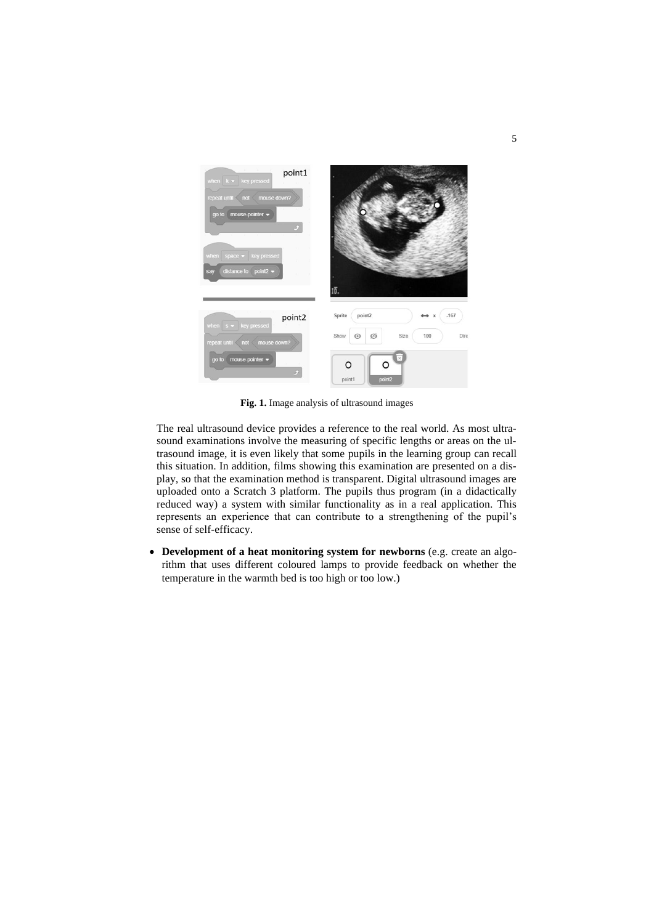

**Fig. 1.** Image analysis of ultrasound images

The real ultrasound device provides a reference to the real world. As most ultrasound examinations involve the measuring of specific lengths or areas on the ultrasound image, it is even likely that some pupils in the learning group can recall this situation. In addition, films showing this examination are presented on a display, so that the examination method is transparent. Digital ultrasound images are uploaded onto a Scratch 3 platform. The pupils thus program (in a didactically reduced way) a system with similar functionality as in a real application. This represents an experience that can contribute to a strengthening of the pupil's sense of self-efficacy.

• **Development of a heat monitoring system for newborns** (e.g. create an algorithm that uses different coloured lamps to provide feedback on whether the temperature in the warmth bed is too high or too low.)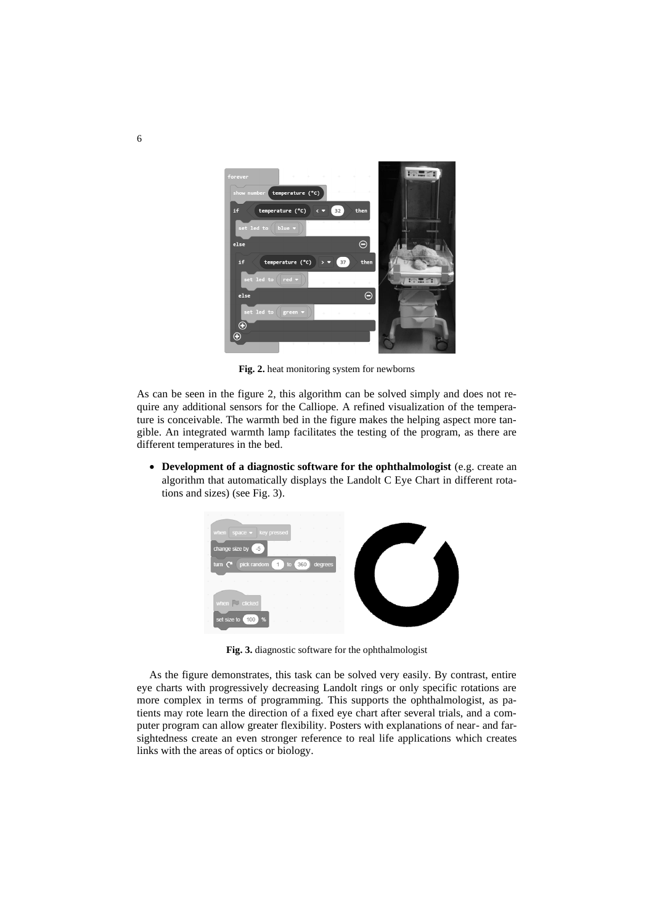

**Fig. 2.** heat monitoring system for newborns

As can be seen in the figure 2, this algorithm can be solved simply and does not require any additional sensors for the Calliope. A refined visualization of the temperature is conceivable. The warmth bed in the figure makes the helping aspect more tangible. An integrated warmth lamp facilitates the testing of the program, as there are different temperatures in the bed.

• **Development of a diagnostic software for the ophthalmologist** (e.g. create an algorithm that automatically displays the Landolt C Eye Chart in different rotations and sizes) (see Fig. 3).



**Fig. 3.** diagnostic software for the ophthalmologist

As the figure demonstrates, this task can be solved very easily. By contrast, entire eye charts with progressively decreasing Landolt rings or only specific rotations are more complex in terms of programming. This supports the ophthalmologist, as patients may rote learn the direction of a fixed eye chart after several trials, and a computer program can allow greater flexibility. Posters with explanations of near- and farsightedness create an even stronger reference to real life applications which creates links with the areas of optics or biology.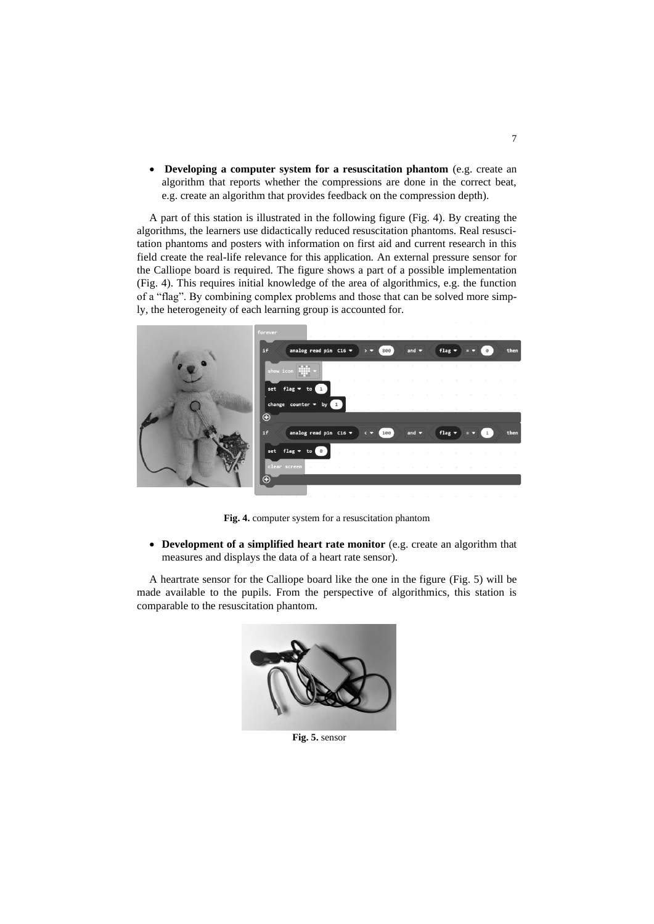• **Developing a computer system for a resuscitation phantom** (e.g. create an algorithm that reports whether the compressions are done in the correct beat, e.g. create an algorithm that provides feedback on the compression depth).

A part of this station is illustrated in the following figure (Fig. 4). By creating the algorithms, the learners use didactically reduced resuscitation phantoms. Real resuscitation phantoms and posters with information on first aid and current research in this field create the real-life relevance for this application. An external pressure sensor for the Calliope board is required. The figure shows a part of a possible implementation (Fig. 4). This requires initial knowledge of the area of algorithmics, e.g. the function of a "flag". By combining complex problems and those that can be solved more simply, the heterogeneity of each learning group is accounted for.



**Fig. 4.** computer system for a resuscitation phantom

• **Development of a simplified heart rate monitor** (e.g. create an algorithm that measures and displays the data of a heart rate sensor).

A heartrate sensor for the Calliope board like the one in the figure (Fig. 5) will be made available to the pupils. From the perspective of algorithmics, this station is comparable to the resuscitation phantom.



**Fig. 5.** sensor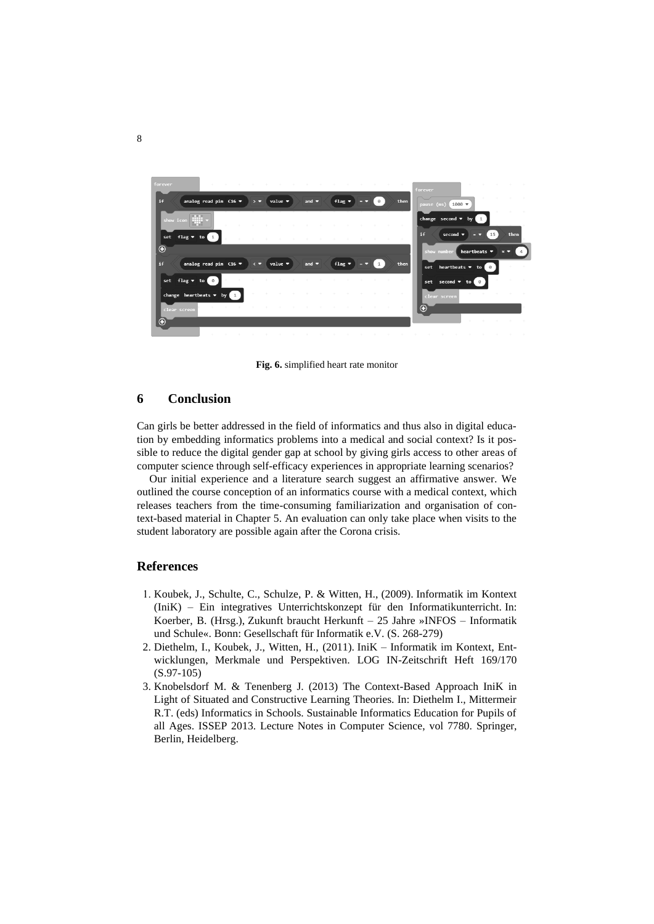

**Fig. 6.** simplified heart rate monitor

#### **6 Conclusion**

Can girls be better addressed in the field of informatics and thus also in digital education by embedding informatics problems into a medical and social context? Is it possible to reduce the digital gender gap at school by giving girls access to other areas of computer science through self-efficacy experiences in appropriate learning scenarios?

Our initial experience and a literature search suggest an affirmative answer. We outlined the course conception of an informatics course with a medical context, which releases teachers from the time-consuming familiarization and organisation of context-based material in Chapter 5. An evaluation can only take place when visits to the student laboratory are possible again after the Corona crisis.

#### **References**

- 1. Koubek, J., Schulte, C., Schulze, P. & Witten, H., (2009). Informatik im Kontext (IniK) – Ein integratives Unterrichtskonzept für den Informatikunterricht. In: Koerber, B. (Hrsg.), Zukunft braucht Herkunft – 25 Jahre »INFOS – Informatik und Schule«. Bonn: Gesellschaft für Informatik e.V. (S. 268-279)
- 2. Diethelm, I., Koubek, J., Witten, H., (2011). IniK Informatik im Kontext, Entwicklungen, Merkmale und Perspektiven. LOG IN-Zeitschrift Heft 169/170 (S.97-105)
- 3. Knobelsdorf M. & Tenenberg J. (2013) The Context-Based Approach IniK in Light of Situated and Constructive Learning Theories. In: Diethelm I., Mittermeir R.T. (eds) Informatics in Schools. Sustainable Informatics Education for Pupils of all Ages. ISSEP 2013. Lecture Notes in Computer Science, vol 7780. Springer, Berlin, Heidelberg.